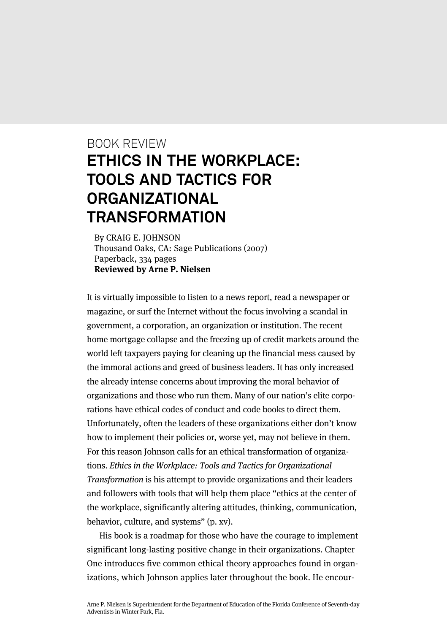## BOOK REVIEW **ETHICS IN THE WORKPLACE: TOOLS AND TACTICS FOR ORGANIZATIONAL TRANSFORMATION**

By CRAIG E. JOHNSON Thousand Oaks, CA: Sage Publications (2007) Paperback, 334 pages **Reviewed by Arne P. Nielsen**

It is virtually impossible to listen to a news report, read a newspaper or magazine, or surf the Internet without the focus involving a scandal in government, a corporation, an organization or institution. The recent home mortgage collapse and the freezing up of credit markets around the world left taxpayers paying for cleaning up the financial mess caused by the immoral actions and greed of business leaders. It has only increased the already intense concerns about improving the moral behavior of organizations and those who run them. Many of our nation's elite corporations have ethical codes of conduct and code books to direct them. Unfortunately, often the leaders of these organizations either don't know how to implement their policies or, worse yet, may not believe in them. For this reason Johnson calls for an ethical transformation of organizations. Ethics in the Workplace: Tools and Tactics for Organizational Transformation is his attempt to provide organizations and their leaders and followers with tools that will help them place "ethics at the center of the workplace, significantly altering attitudes, thinking, communication, behavior, culture, and systems" (p. xv).

His book is a roadmap for those who have the courage to implement significant long-lasting positive change in their organizations. Chapter One introduces five common ethical theory approaches found in organizations, which Johnson applies later throughout the book. He encour-

Arne P. Nielsen is Superintendent for the Department of Education of the Florida Conference of Seventh-day Adventists in Winter Park, Fla.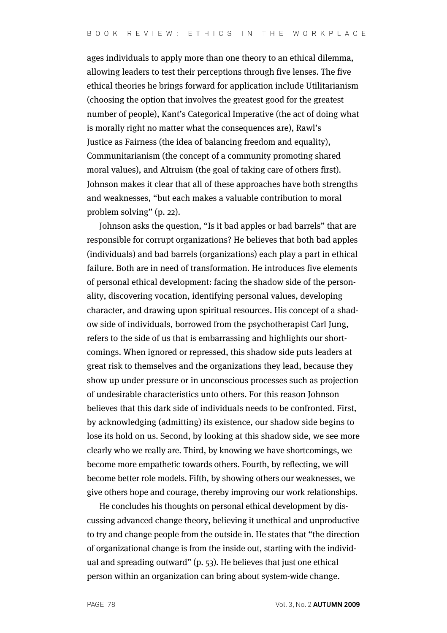ages individuals to apply more than one theory to an ethical dilemma, allowing leaders to test their perceptions through five lenses. The five ethical theories he brings forward for application include Utilitarianism (choosing the option that involves the greatest good for the greatest number of people), Kant's Categorical Imperative (the act of doing what is morally right no matter what the consequences are), Rawl's Justice as Fairness (the idea of balancing freedom and equality), Communitarianism (the concept of a community promoting shared moral values), and Altruism (the goal of taking care of others first). Johnson makes it clear that all of these approaches have both strengths and weaknesses, "but each makes a valuable contribution to moral problem solving" (p. 22).

Johnson asks the question, "Is it bad apples or bad barrels" that are responsible for corrupt organizations? He believes that both bad apples (individuals) and bad barrels (organizations) each play a part in ethical failure. Both are in need of transformation. He introduces five elements of personal ethical development: facing the shadow side of the personality, discovering vocation, identifying personal values, developing character, and drawing upon spiritual resources. His concept of a shadow side of individuals, borrowed from the psychotherapist Carl Jung, refers to the side of us that is embarrassing and highlights our shortcomings. When ignored or repressed, this shadow side puts leaders at great risk to themselves and the organizations they lead, because they show up under pressure or in unconscious processes such as projection of undesirable characteristics unto others. For this reason Johnson believes that this dark side of individuals needs to be confronted. First, by acknowledging (admitting) its existence, our shadow side begins to lose its hold on us. Second, by looking at this shadow side, we see more clearly who we really are. Third, by knowing we have shortcomings, we become more empathetic towards others. Fourth, by reflecting, we will become better role models. Fifth, by showing others our weaknesses, we give others hope and courage, thereby improving our work relationships.

He concludes his thoughts on personal ethical development by discussing advanced change theory, believing it unethical and unproductive to try and change people from the outside in. He states that "the direction of organizational change is from the inside out, starting with the individual and spreading outward" (p. 53). He believes that just one ethical person within an organization can bring about system-wide change.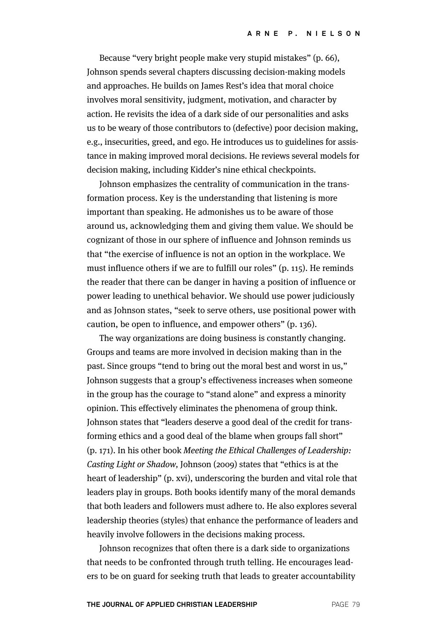Because "very bright people make very stupid mistakes" (p. 66), Johnson spends several chapters discussing decision-making models and approaches. He builds on James Rest's idea that moral choice involves moral sensitivity, judgment, motivation, and character by action. He revisits the idea of a dark side of our personalities and asks us to be weary of those contributors to (defective) poor decision making, e.g., insecurities, greed, and ego. He introduces us to guidelines for assistance in making improved moral decisions. He reviews several models for decision making, including Kidder's nine ethical checkpoints.

Johnson emphasizes the centrality of communication in the transformation process. Key is the understanding that listening is more important than speaking. He admonishes us to be aware of those around us, acknowledging them and giving them value. We should be cognizant of those in our sphere of influence and Johnson reminds us that "the exercise of influence is not an option in the workplace. We must influence others if we are to fulfill our roles" (p. 115). He reminds the reader that there can be danger in having a position of influence or power leading to unethical behavior. We should use power judiciously and as Johnson states, "seek to serve others, use positional power with caution, be open to influence, and empower others" (p. 136).

The way organizations are doing business is constantly changing. Groups and teams are more involved in decision making than in the past. Since groups "tend to bring out the moral best and worst in us," Johnson suggests that a group's effectiveness increases when someone in the group has the courage to "stand alone" and express a minority opinion. This effectively eliminates the phenomena of group think. Johnson states that "leaders deserve a good deal of the credit for transforming ethics and a good deal of the blame when groups fall short" (p. 171). In his other book Meeting the Ethical Challenges of Leadership: Casting Light or Shadow, Johnson (2009) states that "ethics is at the heart of leadership" (p. xvi), underscoring the burden and vital role that leaders play in groups. Both books identify many of the moral demands that both leaders and followers must adhere to. He also explores several leadership theories (styles) that enhance the performance of leaders and heavily involve followers in the decisions making process.

Johnson recognizes that often there is a dark side to organizations that needs to be confronted through truth telling. He encourages leaders to be on guard for seeking truth that leads to greater accountability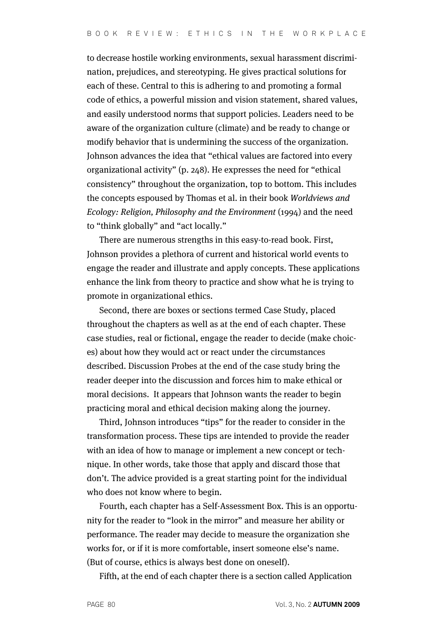to decrease hostile working environments, sexual harassment discrimination, prejudices, and stereotyping. He gives practical solutions for each of these. Central to this is adhering to and promoting a formal code of ethics, a powerful mission and vision statement, shared values, and easily understood norms that support policies. Leaders need to be aware of the organization culture (climate) and be ready to change or modify behavior that is undermining the success of the organization. Johnson advances the idea that "ethical values are factored into every organizational activity" (p. 248). He expresses the need for "ethical consistency" throughout the organization, top to bottom. This includes the concepts espoused by Thomas et al. in their book Worldviews and Ecology: Religion, Philosophy and the Environment (1994) and the need to "think globally" and "act locally."

There are numerous strengths in this easy-to-read book. First, Johnson provides a plethora of current and historical world events to engage the reader and illustrate and apply concepts. These applications enhance the link from theory to practice and show what he is trying to promote in organizational ethics.

Second, there are boxes or sections termed Case Study, placed throughout the chapters as well as at the end of each chapter. These case studies, real or fictional, engage the reader to decide (make choices) about how they would act or react under the circumstances described. Discussion Probes at the end of the case study bring the reader deeper into the discussion and forces him to make ethical or moral decisions. It appears that Johnson wants the reader to begin practicing moral and ethical decision making along the journey.

Third, Johnson introduces "tips" for the reader to consider in the transformation process. These tips are intended to provide the reader with an idea of how to manage or implement a new concept or technique. In other words, take those that apply and discard those that don't. The advice provided is a great starting point for the individual who does not know where to begin.

Fourth, each chapter has a Self-Assessment Box. This is an opportunity for the reader to "look in the mirror" and measure her ability or performance. The reader may decide to measure the organization she works for, or if it is more comfortable, insert someone else's name. (But of course, ethics is always best done on oneself).

Fifth, at the end of each chapter there is a section called Application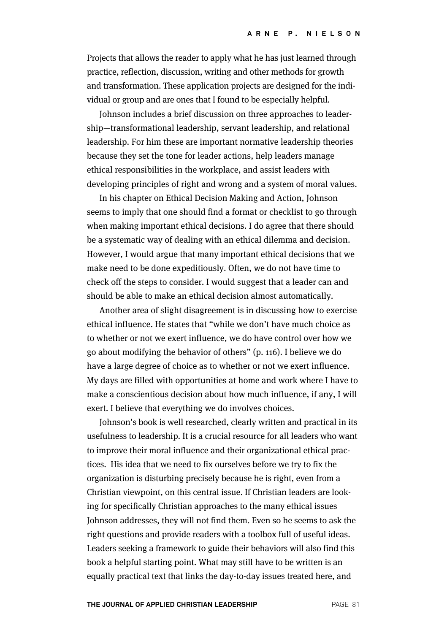Projects that allows the reader to apply what he has just learned through practice, reflection, discussion, writing and other methods for growth and transformation. These application projects are designed for the individual or group and are ones that I found to be especially helpful.

Johnson includes a brief discussion on three approaches to leadership—transformational leadership, servant leadership, and relational leadership. For him these are important normative leadership theories because they set the tone for leader actions, help leaders manage ethical responsibilities in the workplace, and assist leaders with developing principles of right and wrong and a system of moral values.

In his chapter on Ethical Decision Making and Action, Johnson seems to imply that one should find a format or checklist to go through when making important ethical decisions. I do agree that there should be a systematic way of dealing with an ethical dilemma and decision. However, I would argue that many important ethical decisions that we make need to be done expeditiously. Often, we do not have time to check off the steps to consider. I would suggest that a leader can and should be able to make an ethical decision almost automatically.

Another area of slight disagreement is in discussing how to exercise ethical influence. He states that "while we don't have much choice as to whether or not we exert influence, we do have control over how we go about modifying the behavior of others" (p. 116). I believe we do have a large degree of choice as to whether or not we exert influence. My days are filled with opportunities at home and work where I have to make a conscientious decision about how much influence, if any, I will exert. I believe that everything we do involves choices.

Johnson's book is well researched, clearly written and practical in its usefulness to leadership. It is a crucial resource for all leaders who want to improve their moral influence and their organizational ethical practices. His idea that we need to fix ourselves before we try to fix the organization is disturbing precisely because he is right, even from a Christian viewpoint, on this central issue. If Christian leaders are looking for specifically Christian approaches to the many ethical issues Johnson addresses, they will not find them. Even so he seems to ask the right questions and provide readers with a toolbox full of useful ideas. Leaders seeking a framework to guide their behaviors will also find this book a helpful starting point. What may still have to be written is an equally practical text that links the day-to-day issues treated here, and